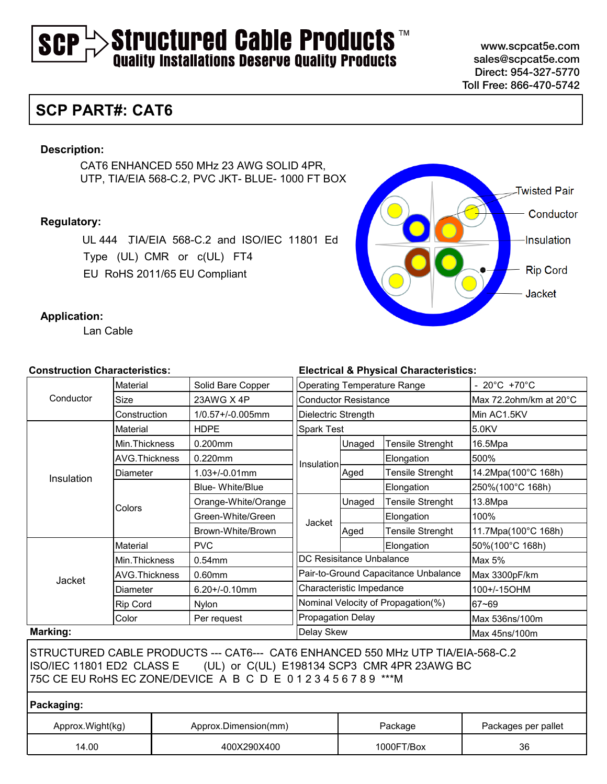# $>$ Structured Cable Products  $\overline{\phantom{a}}$  and  $\overline{\phantom{a}}$  and  $\overline{\phantom{a}}$  and  $\overline{\phantom{a}}$ SCP

www.scpcat5e.com sales@scpcat5e.com Direct: 954-327-5770 Toll Free: 866-470-5742

# **SCP PART#: CAT6**

#### **Description:**

CAT6 ENHANCED 550 MHz 23 AWG SOLID 4PR, UTP, TIA/EIA 568-C.2, PVC JKT- BLUE- 1000 FT BOX

#### **Regulatory:**

UL 444 、TIA/EIA 568-C.2 and ISO/IEC 11801 Ed Type (UL) CMR or c(UL) FT4 EU RoHS 2011/65 EU Compliant



#### **Application:**

Lan Cable

#### **Construction Characteristics:**

| <b>Construction Characteristics:</b> |                      |             | <b>Electrical &amp; Physical Characteristics:</b>                                                                                                                                                                   |                                      |                                    |                         |                        |  |
|--------------------------------------|----------------------|-------------|---------------------------------------------------------------------------------------------------------------------------------------------------------------------------------------------------------------------|--------------------------------------|------------------------------------|-------------------------|------------------------|--|
|                                      | Material             |             | Solid Bare Copper                                                                                                                                                                                                   | <b>Operating Temperature Range</b>   |                                    |                         | - 20°C +70°C           |  |
| Conductor                            | <b>Size</b>          |             | 23AWG X 4P                                                                                                                                                                                                          | <b>Conductor Resistance</b>          |                                    |                         | Max 72.2ohm/km at 20°C |  |
|                                      | Construction         |             | 1/0.57+/-0.005mm                                                                                                                                                                                                    | Dielectric Strength                  |                                    | Min AC1.5KV             |                        |  |
| Insulation                           | Material             |             | <b>HDPE</b>                                                                                                                                                                                                         | <b>Spark Test</b>                    |                                    |                         | 5.0KV                  |  |
|                                      | Min. Thickness       |             | 0.200mm                                                                                                                                                                                                             |                                      | Unaged                             | <b>Tensile Strenght</b> | 16.5Mpa                |  |
|                                      | <b>AVG.Thickness</b> |             | 0.220mm                                                                                                                                                                                                             | Insulation                           |                                    | Elongation              | 500%                   |  |
|                                      | Diameter             |             | $1.03 + / -0.01$ mm                                                                                                                                                                                                 |                                      | Aged                               | Tensile Strenght        | 14.2Mpa(100°C 168h)    |  |
|                                      |                      |             | <b>Blue-White/Blue</b>                                                                                                                                                                                              |                                      |                                    | Elongation              | 250%(100°C 168h)       |  |
|                                      | Colors               |             | Orange-White/Orange                                                                                                                                                                                                 |                                      | Unaged                             | <b>Tensile Strenght</b> | 13.8Mpa                |  |
|                                      |                      |             | Green-White/Green                                                                                                                                                                                                   | Jacket                               |                                    | Elongation              | 100%                   |  |
|                                      |                      |             | Brown-White/Brown                                                                                                                                                                                                   |                                      | Aged                               | <b>Tensile Strenght</b> | 11.7Mpa(100°C 168h)    |  |
|                                      | Material             |             | <b>PVC</b>                                                                                                                                                                                                          |                                      |                                    | Elongation              | 50%(100°C 168h)        |  |
|                                      | Min. Thickness       |             | 0.54mm                                                                                                                                                                                                              | DC Resisitance Unbalance             |                                    |                         | Max 5%                 |  |
|                                      | <b>AVG.Thickness</b> |             | $0.60$ mm                                                                                                                                                                                                           | Pair-to-Ground Capacitance Unbalance |                                    |                         | Max 3300pF/km          |  |
| Jacket                               | Diameter             |             | $6.20 + (-0.10$ mm                                                                                                                                                                                                  | Characteristic Impedance             |                                    |                         | 100+/-15OHM            |  |
|                                      | Rip Cord             |             | Nylon                                                                                                                                                                                                               |                                      | Nominal Velocity of Propagation(%) |                         | 67~69                  |  |
|                                      | Color                |             | Per request                                                                                                                                                                                                         | <b>Propagation Delay</b>             |                                    |                         | Max 536ns/100m         |  |
| Marking:                             |                      |             |                                                                                                                                                                                                                     | Delay Skew                           |                                    |                         | Max 45ns/100m          |  |
|                                      |                      |             | STRUCTURED CABLE PRODUCTS --- CAT6--- CAT6 ENHANCED 550 MHz UTP TIA/EIA-568-C.2<br>ISO/IEC 11801 ED2 CLASS E (UL) or C(UL) E198134 SCP3 CMR 4PR 23AWG BC<br>75C CE EU RoHS EC ZONE/DEVICE A B C D E 0123456789 ***M |                                      |                                    |                         |                        |  |
| Packaging:                           |                      |             |                                                                                                                                                                                                                     |                                      |                                    |                         |                        |  |
| Approx. Wight (kg)                   |                      |             | Approx.Dimension(mm)                                                                                                                                                                                                | Package                              |                                    |                         | Packages per pallet    |  |
| 14.00                                |                      | 400X290X400 |                                                                                                                                                                                                                     |                                      | 1000FT/Box                         |                         | 36                     |  |